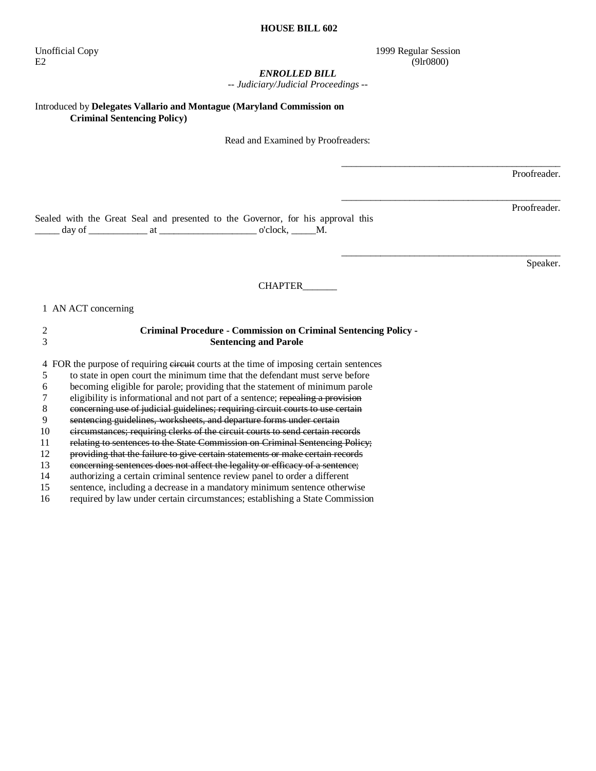Unofficial Copy 1999 Regular Session  $E2$  (9lr0800)

#### *ENROLLED BILL*

*-- Judiciary/Judicial Proceedings --* 

Introduced by **Delegates Vallario and Montague (Maryland Commission on Criminal Sentencing Policy)** 

Read and Examined by Proofreaders:

Proofreader.

Proofreader.

\_\_\_\_\_\_\_\_\_\_\_\_\_\_\_\_\_\_\_\_\_\_\_\_\_\_\_\_\_\_\_\_\_\_\_\_\_\_\_\_\_\_\_\_\_

\_\_\_\_\_\_\_\_\_\_\_\_\_\_\_\_\_\_\_\_\_\_\_\_\_\_\_\_\_\_\_\_\_\_\_\_\_\_\_\_\_\_\_\_\_

\_\_\_\_\_\_\_\_\_\_\_\_\_\_\_\_\_\_\_\_\_\_\_\_\_\_\_\_\_\_\_\_\_\_\_\_\_\_\_\_\_\_\_\_\_

Sealed with the Great Seal and presented to the Governor, for his approval this  $\frac{1}{\text{day of}}$  at  $\frac{1}{\text{day of}}$  at  $\frac{1}{\text{day of}}$  o'clock,  $\frac{1}{\text{day of}}$ 

Speaker.

#### CHAPTER\_\_\_\_\_\_\_

1 AN ACT concerning

## 2 **Criminal Procedure - Commission on Criminal Sentencing Policy -**  3 **Sentencing and Parole**

4 FOR the purpose of requiring circuit courts at the time of imposing certain sentences

5 to state in open court the minimum time that the defendant must serve before

6 becoming eligible for parole; providing that the statement of minimum parole

7 eligibility is informational and not part of a sentence; repealing a provision

8 concerning use of judicial guidelines; requiring circuit courts to use certain

9 sentencing guidelines, worksheets, and departure forms under certain

10 circumstances; requiring clerks of the circuit courts to send certain records

11 relating to sentences to the State Commission on Criminal Sentencing Policy;

12 providing that the failure to give certain statements or make certain records

13 concerning sentences does not affect the legality or efficacy of a sentence;<br>14 authorizing a certain criminal sentence review panel to order a different

14 authorizing a certain criminal sentence review panel to order a different<br>15 sentence, including a decrease in a mandatory minimum sentence other

sentence, including a decrease in a mandatory minimum sentence otherwise

16 required by law under certain circumstances; establishing a State Commission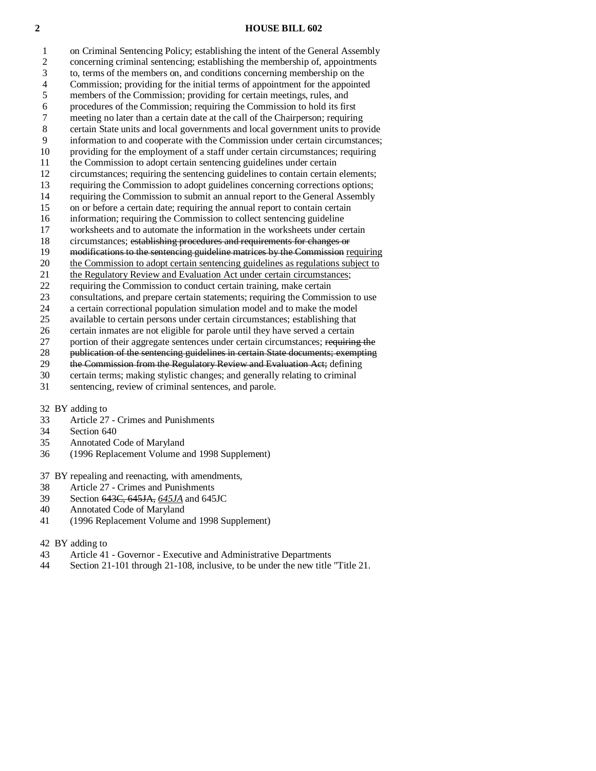2 concerning criminal sentencing; establishing the membership of, appointments 3 to, terms of the members on, and conditions concerning membership on the 4 Commission; providing for the initial terms of appointment for the appointed 5 members of the Commission; providing for certain meetings, rules, and 6 procedures of the Commission; requiring the Commission to hold its first meeting no later than a certain date at the call of the Chairperson; requiring 8 certain State units and local governments and local government units to provide 9 information to and cooperate with the Commission under certain circumstances; 10 providing for the employment of a staff under certain circumstances; requiring 11 the Commission to adopt certain sentencing guidelines under certain 12 circumstances; requiring the sentencing guidelines to contain certain elements; 13 requiring the Commission to adopt guidelines concerning corrections options; 14 requiring the Commission to submit an annual report to the General Assembly 15 on or before a certain date; requiring the annual report to contain certain 16 information; requiring the Commission to collect sentencing guideline 17 worksheets and to automate the information in the worksheets under certain 18 circumstances; establishing procedures and requirements for changes or 19 modifications to the sentencing guideline matrices by the Commission requiring 20 the Commission to adopt certain sentencing guidelines as regulations subject to 21 the Regulatory Review and Evaluation Act under certain circumstances; 22 requiring the Commission to conduct certain training, make certain 23 consultations, and prepare certain statements; requiring the Commission to use 24 a certain correctional population simulation model and to make the model 25 available to certain persons under certain circumstances; establishing that

1 on Criminal Sentencing Policy; establishing the intent of the General Assembly

26 certain inmates are not eligible for parole until they have served a certain

27 portion of their aggregate sentences under certain circumstances; requiring the

28 publication of the sentencing guidelines in certain State documents; exempting<br>29 the Commission from the Regulatory Review and Evaluation Act; defining

the Commission from the Regulatory Review and Evaluation Act; defining

30 certain terms; making stylistic changes; and generally relating to criminal

31 sentencing, review of criminal sentences, and parole.

32 BY adding to

- 33 Article 27 Crimes and Punishments
- 34 Section 640
- 35 Annotated Code of Maryland
- 36 (1996 Replacement Volume and 1998 Supplement)

37 BY repealing and reenacting, with amendments,

- 38 Article 27 Crimes and Punishments
- 39 Section 643C, 645JA, *645JA* and 645JC
- 40 Annotated Code of Maryland
- 41 (1996 Replacement Volume and 1998 Supplement)

42 BY adding to

- 43 Article 41 Governor Executive and Administrative Departments
- 44 Section 21-101 through 21-108, inclusive, to be under the new title "Title 21.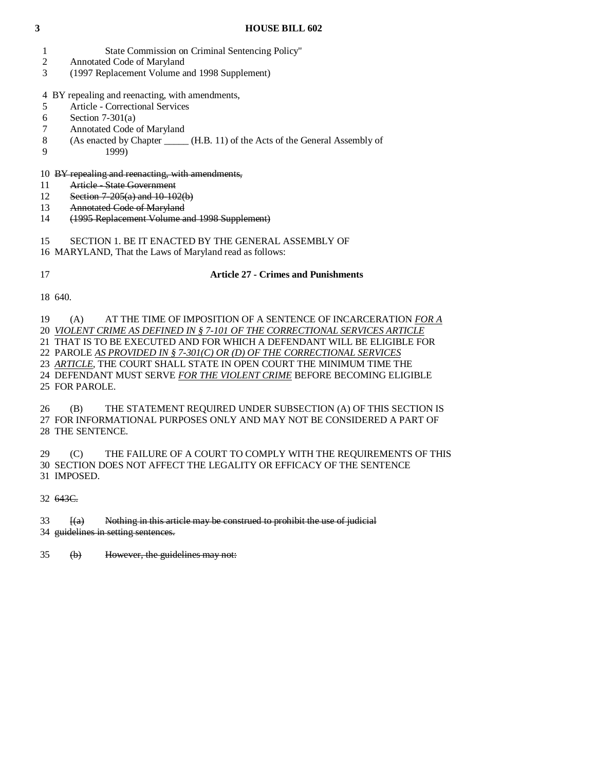- 1 State Commission on Criminal Sentencing Policy"
- 2 Annotated Code of Maryland
- 3 (1997 Replacement Volume and 1998 Supplement)
- 4 BY repealing and reenacting, with amendments,
- 5 Article Correctional Services
- 6 Section 7-301(a)
- 7 Annotated Code of Maryland
- 8 (As enacted by Chapter \_\_\_\_\_ (H.B. 11) of the Acts of the General Assembly of
- 9 1999)

## 10 BY repealing and reenacting, with amendments,

- 11 Article State Government
- 12 Section 7-205(a) and 10-102(b)
- 13 Annotated Code of Maryland
- 14 (1995 Replacement Volume and 1998 Supplement)
- 15 SECTION 1. BE IT ENACTED BY THE GENERAL ASSEMBLY OF
- 16 MARYLAND, That the Laws of Maryland read as follows:
- 

## 17 **Article 27 - Crimes and Punishments**

18 640.

 19 (A) AT THE TIME OF IMPOSITION OF A SENTENCE OF INCARCERATION *FOR A* 20 *VIOLENT CRIME AS DEFINED IN § 7-101 OF THE CORRECTIONAL SERVICES ARTICLE* 21 THAT IS TO BE EXECUTED AND FOR WHICH A DEFENDANT WILL BE ELIGIBLE FOR 22 PAROLE *AS PROVIDED IN § 7-301(C) OR (D) OF THE CORRECTIONAL SERVICES* 23 *ARTICLE*, THE COURT SHALL STATE IN OPEN COURT THE MINIMUM TIME THE 24 DEFENDANT MUST SERVE *FOR THE VIOLENT CRIME* BEFORE BECOMING ELIGIBLE 25 FOR PAROLE.

 26 (B) THE STATEMENT REQUIRED UNDER SUBSECTION (A) OF THIS SECTION IS 27 FOR INFORMATIONAL PURPOSES ONLY AND MAY NOT BE CONSIDERED A PART OF 28 THE SENTENCE.

 29 (C) THE FAILURE OF A COURT TO COMPLY WITH THE REQUIREMENTS OF THIS 30 SECTION DOES NOT AFFECT THE LEGALITY OR EFFICACY OF THE SENTENCE 31 IMPOSED.

32 643C.

 $33$  [(a) Nothing in this article may be construed to prohibit the use of judicial 34 guidelines in setting sentences.

35 (b) However, the guidelines may not: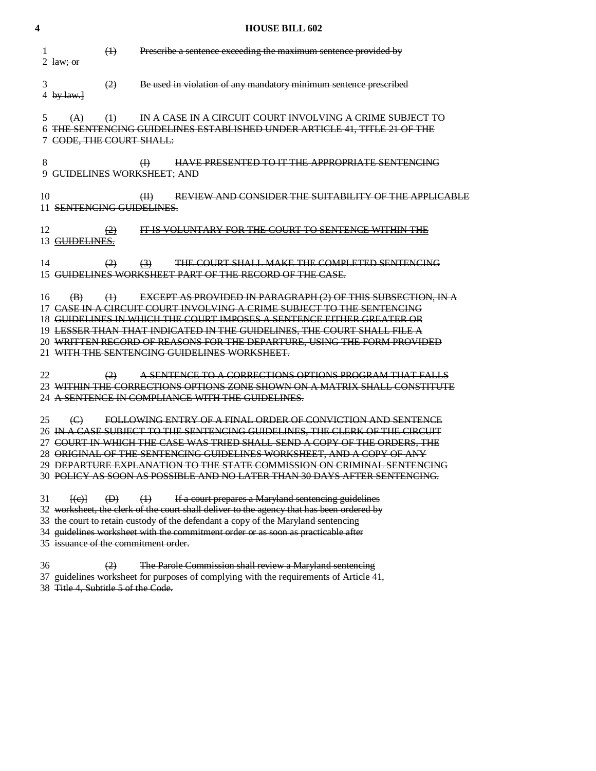| 4  |                                                                           | <b>HOUSE BILL 602</b>                                                                                                                                                                                                                                                                                                                                                                                                                                     |
|----|---------------------------------------------------------------------------|-----------------------------------------------------------------------------------------------------------------------------------------------------------------------------------------------------------------------------------------------------------------------------------------------------------------------------------------------------------------------------------------------------------------------------------------------------------|
| 1  | $\leftrightarrow$<br>2 $law; or$                                          | Prescribe a sentence exceeding the maximum sentence provided by                                                                                                                                                                                                                                                                                                                                                                                           |
| 3  | (2)<br>4 by $law.$ }                                                      | Be used in violation of any mandatory minimum sentence prescribed                                                                                                                                                                                                                                                                                                                                                                                         |
| 5  | $\leftrightarrow$<br>(A)<br>7 CODE, THE COURT SHALL:                      | IN A CASE IN A CIRCUIT COURT INVOLVING A CRIME SUBJECT TO<br>6 THE SENTENCING GUIDELINES ESTABLISHED UNDER ARTICLE 41, TITLE 21 OF THE                                                                                                                                                                                                                                                                                                                    |
| 8  | 9 GUIDELINES WORKSHEET; AND                                               | <b>HAVE PRESENTED TO IT THE APPROPRIATE SENTENCING</b><br>$\bigoplus$                                                                                                                                                                                                                                                                                                                                                                                     |
| 10 | 11 SENTENCING GUIDELINES.                                                 | REVIEW AND CONSIDER THE SUITABILITY OF THE APPLICABLE<br>(H)                                                                                                                                                                                                                                                                                                                                                                                              |
| 12 | $\left( 2\right)$<br>13 GUIDELINES.                                       | IT IS VOLUNTARY FOR THE COURT TO SENTENCE WITHIN THE                                                                                                                                                                                                                                                                                                                                                                                                      |
| 14 | (2)                                                                       | <b>THE COURT SHALL MAKE THE COMPLETED SENTENCING</b><br>$\left(3\right)$<br>15 GUIDELINES WORKSHEET PART OF THE RECORD OF THE CASE.                                                                                                                                                                                                                                                                                                                       |
| 16 | $\left(\frac{1}{2}\right)$<br>$\left( \mathbf{B}\right)$                  | <b>EXCEPT AS PROVIDED IN PARAGRAPH (2) OF THIS SUBSECTION, IN A</b><br>17 CASE IN A CIRCUIT COURT INVOLVING A CRIME SUBJECT TO THE SENTENCING<br>18 GUIDELINES IN WHICH THE COURT IMPOSES A SENTENCE EITHER GREATER OR<br>19 LESSER THAN THAT INDICATED IN THE GUIDELINES, THE COURT SHALL FILE A<br>20 WRITTEN RECORD OF REASONS FOR THE DEPARTURE, USING THE FORM PROVIDED<br>21 WITH THE SENTENCING GUIDELINES WORKSHEET.                              |
| 22 | $\left( 2\right)$                                                         | A SENTENCE TO A CORRECTIONS OPTIONS PROGRAM THAT FALLS<br>23 WITHIN THE CORRECTIONS OPTIONS ZONE SHOWN ON A MATRIX SHALL CONSTITUTE<br>24 A SENTENCE IN COMPLIANCE WITH THE GUIDELINES.                                                                                                                                                                                                                                                                   |
| 25 | $\Theta$                                                                  | FOLLOWING ENTRY OF A FINAL ORDER OF CONVICTION AND SENTENCE<br>26 IN A CASE SUBJECT TO THE SENTENCING GUIDELINES, THE CLERK OF THE CIRCUIT<br>27 COURT IN WHICH THE CASE WAS TRIED SHALL SEND A COPY OF THE ORDERS, THE<br>28 ORIGINAL OF THE SENTENCING GUIDELINES WORKSHEET, AND A COPY OF ANY<br>29 DEPARTURE EXPLANATION TO THE STATE COMMISSION ON CRIMINAL SENTENCING<br>30  POLICY AS SOON AS POSSIBLE AND NO LATER THAN 30 DAYS AFTER SENTENCING. |
| 31 | $\left(\mathbf{D}\right)$<br>H(e)<br>35 issuance of the commitment order. | $\left(\frac{1}{2}\right)$<br>If a court prepares a Maryland sentencing guidelines<br>32 worksheet, the clerk of the court shall deliver to the agency that has been ordered by<br>33 the court to retain custody of the defendant a copy of the Maryland sentencing<br>34 guidelines worksheet with the commitment order or as soon as practicable after                                                                                                 |
| 36 | (2)                                                                       | The Parole Commission shall review a Maryland sentencing<br>37 guidelines worksheet for purposes of complying with the requirements of Article 41,                                                                                                                                                                                                                                                                                                        |

38 Title 4, Subtitle 5 of the Code.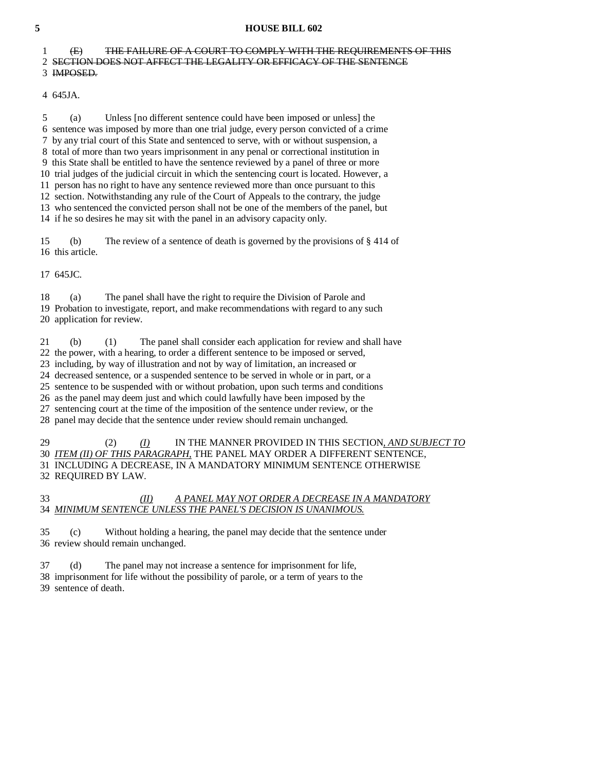### 1 (E) THE FAILURE OF A COURT TO COMPLY WITH THE REQUIREMENTS OF THIS 2 SECTION DOES NOT AFFECT THE LEGALITY OR EFFICACY OF THE SENTENCE 3 IMPOSED.

4 645JA.

 5 (a) Unless [no different sentence could have been imposed or unless] the 6 sentence was imposed by more than one trial judge, every person convicted of a crime 7 by any trial court of this State and sentenced to serve, with or without suspension, a 8 total of more than two years imprisonment in any penal or correctional institution in 9 this State shall be entitled to have the sentence reviewed by a panel of three or more 10 trial judges of the judicial circuit in which the sentencing court is located. However, a 11 person has no right to have any sentence reviewed more than once pursuant to this 12 section. Notwithstanding any rule of the Court of Appeals to the contrary, the judge 13 who sentenced the convicted person shall not be one of the members of the panel, but

14 if he so desires he may sit with the panel in an advisory capacity only.

 15 (b) The review of a sentence of death is governed by the provisions of § 414 of 16 this article.

17 645JC.

 18 (a) The panel shall have the right to require the Division of Parole and 19 Probation to investigate, report, and make recommendations with regard to any such 20 application for review.

21 (b) (1) The panel shall consider each application for review and shall have

22 the power, with a hearing, to order a different sentence to be imposed or served,

23 including, by way of illustration and not by way of limitation, an increased or

24 decreased sentence, or a suspended sentence to be served in whole or in part, or a

25 sentence to be suspended with or without probation, upon such terms and conditions

26 as the panel may deem just and which could lawfully have been imposed by the

27 sentencing court at the time of the imposition of the sentence under review, or the

28 panel may decide that the sentence under review should remain unchanged.

 29 (2) *(I)* IN THE MANNER PROVIDED IN THIS SECTION*, AND SUBJECT TO* 30 *ITEM (II) OF THIS PARAGRAPH,* THE PANEL MAY ORDER A DIFFERENT SENTENCE, 31 INCLUDING A DECREASE, IN A MANDATORY MINIMUM SENTENCE OTHERWISE 32 REQUIRED BY LAW.

 33 *(II) A PANEL MAY NOT ORDER A DECREASE IN A MANDATORY* 34 *MINIMUM SENTENCE UNLESS THE PANEL'S DECISION IS UNANIMOUS.*

 35 (c) Without holding a hearing, the panel may decide that the sentence under 36 review should remain unchanged.

37 (d) The panel may not increase a sentence for imprisonment for life,

38 imprisonment for life without the possibility of parole, or a term of years to the

39 sentence of death.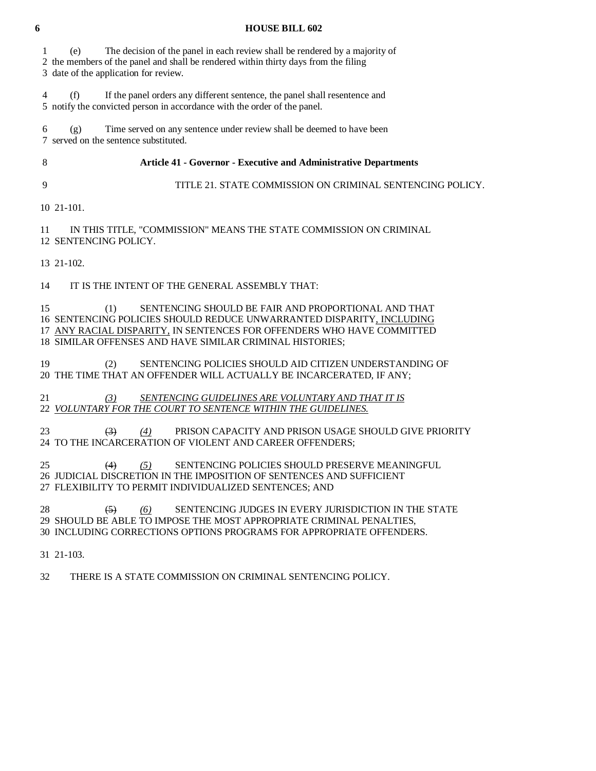1 (e) The decision of the panel in each review shall be rendered by a majority of 2 the members of the panel and shall be rendered within thirty days from the filing 3 date of the application for review. 4 (f) If the panel orders any different sentence, the panel shall resentence and 5 notify the convicted person in accordance with the order of the panel. 6 (g) Time served on any sentence under review shall be deemed to have been 7 served on the sentence substituted. 8 **Article 41 - Governor - Executive and Administrative Departments**  9 TITLE 21. STATE COMMISSION ON CRIMINAL SENTENCING POLICY. 10 21-101. 11 IN THIS TITLE, "COMMISSION" MEANS THE STATE COMMISSION ON CRIMINAL 12 SENTENCING POLICY. 13 21-102. 14 IT IS THE INTENT OF THE GENERAL ASSEMBLY THAT: 15 (1) SENTENCING SHOULD BE FAIR AND PROPORTIONAL AND THAT 16 SENTENCING POLICIES SHOULD REDUCE UNWARRANTED DISPARITY, INCLUDING 17 ANY RACIAL DISPARITY, IN SENTENCES FOR OFFENDERS WHO HAVE COMMITTED 18 SIMILAR OFFENSES AND HAVE SIMILAR CRIMINAL HISTORIES; 19 (2) SENTENCING POLICIES SHOULD AID CITIZEN UNDERSTANDING OF 20 THE TIME THAT AN OFFENDER WILL ACTUALLY BE INCARCERATED, IF ANY; 21 *(3) SENTENCING GUIDELINES ARE VOLUNTARY AND THAT IT IS* 22 *VOLUNTARY FOR THE COURT TO SENTENCE WITHIN THE GUIDELINES.* 23 (3) *(4)* PRISON CAPACITY AND PRISON USAGE SHOULD GIVE PRIORITY 24 TO THE INCARCERATION OF VIOLENT AND CAREER OFFENDERS;

 25 (4) *(5)* SENTENCING POLICIES SHOULD PRESERVE MEANINGFUL 26 JUDICIAL DISCRETION IN THE IMPOSITION OF SENTENCES AND SUFFICIENT 27 FLEXIBILITY TO PERMIT INDIVIDUALIZED SENTENCES; AND

28 (5) (6) SENTENCING JUDGES IN EVERY JURISDICTION IN THE STATE 29 SHOULD BE ABLE TO IMPOSE THE MOST APPROPRIATE CRIMINAL PENALTIES, 30 INCLUDING CORRECTIONS OPTIONS PROGRAMS FOR APPROPRIATE OFFENDERS.

31 21-103.

32 THERE IS A STATE COMMISSION ON CRIMINAL SENTENCING POLICY.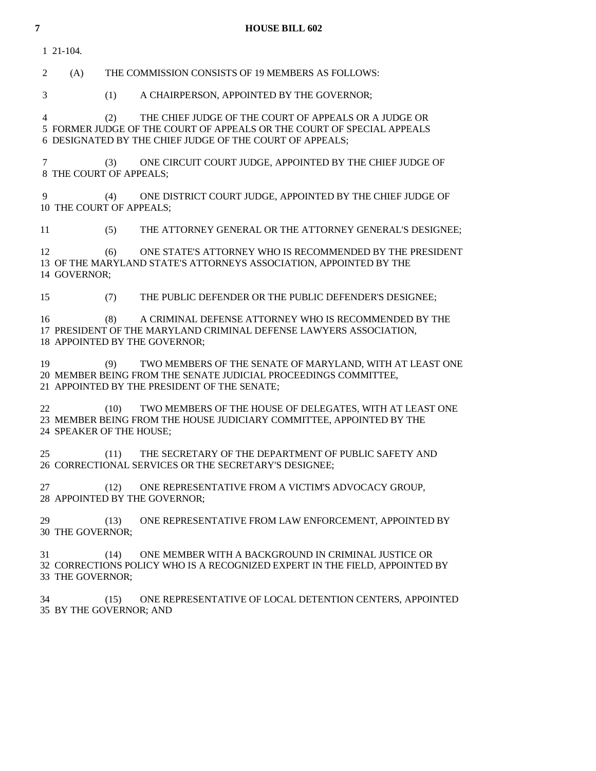1 21-104.

2 (A) THE COMMISSION CONSISTS OF 19 MEMBERS AS FOLLOWS:

3 (1) A CHAIRPERSON, APPOINTED BY THE GOVERNOR;

 4 (2) THE CHIEF JUDGE OF THE COURT OF APPEALS OR A JUDGE OR 5 FORMER JUDGE OF THE COURT OF APPEALS OR THE COURT OF SPECIAL APPEALS 6 DESIGNATED BY THE CHIEF JUDGE OF THE COURT OF APPEALS;

 7 (3) ONE CIRCUIT COURT JUDGE, APPOINTED BY THE CHIEF JUDGE OF 8 THE COURT OF APPEALS;

 9 (4) ONE DISTRICT COURT JUDGE, APPOINTED BY THE CHIEF JUDGE OF 10 THE COURT OF APPEALS;

11 (5) THE ATTORNEY GENERAL OR THE ATTORNEY GENERAL'S DESIGNEE;

 12 (6) ONE STATE'S ATTORNEY WHO IS RECOMMENDED BY THE PRESIDENT 13 OF THE MARYLAND STATE'S ATTORNEYS ASSOCIATION, APPOINTED BY THE 14 GOVERNOR;

15 (7) THE PUBLIC DEFENDER OR THE PUBLIC DEFENDER'S DESIGNEE;

 16 (8) A CRIMINAL DEFENSE ATTORNEY WHO IS RECOMMENDED BY THE 17 PRESIDENT OF THE MARYLAND CRIMINAL DEFENSE LAWYERS ASSOCIATION, 18 APPOINTED BY THE GOVERNOR;

 19 (9) TWO MEMBERS OF THE SENATE OF MARYLAND, WITH AT LEAST ONE 20 MEMBER BEING FROM THE SENATE JUDICIAL PROCEEDINGS COMMITTEE, 21 APPOINTED BY THE PRESIDENT OF THE SENATE;

22 (10) TWO MEMBERS OF THE HOUSE OF DELEGATES, WITH AT LEAST ONE 23 MEMBER BEING FROM THE HOUSE JUDICIARY COMMITTEE, APPOINTED BY THE 24 SPEAKER OF THE HOUSE;

 25 (11) THE SECRETARY OF THE DEPARTMENT OF PUBLIC SAFETY AND 26 CORRECTIONAL SERVICES OR THE SECRETARY'S DESIGNEE;

 27 (12) ONE REPRESENTATIVE FROM A VICTIM'S ADVOCACY GROUP, 28 APPOINTED BY THE GOVERNOR;

29 (13) ONE REPRESENTATIVE FROM LAW ENFORCEMENT, APPOINTED BY 30 THE GOVERNOR;

 31 (14) ONE MEMBER WITH A BACKGROUND IN CRIMINAL JUSTICE OR 32 CORRECTIONS POLICY WHO IS A RECOGNIZED EXPERT IN THE FIELD, APPOINTED BY 33 THE GOVERNOR;

 34 (15) ONE REPRESENTATIVE OF LOCAL DETENTION CENTERS, APPOINTED 35 BY THE GOVERNOR; AND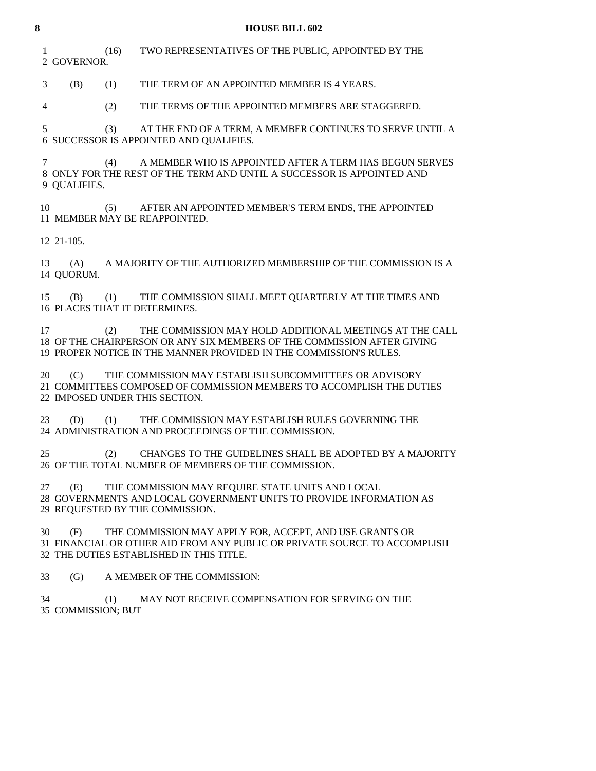| 8 |                             |      | <b>HOUSE BILL 602</b>                                                                                                                                                                                    |
|---|-----------------------------|------|----------------------------------------------------------------------------------------------------------------------------------------------------------------------------------------------------------|
|   | $\mathbf{1}$<br>2 GOVERNOR. | (16) | TWO REPRESENTATIVES OF THE PUBLIC, APPOINTED BY THE                                                                                                                                                      |
|   | 3<br>(B)                    | (1)  | THE TERM OF AN APPOINTED MEMBER IS 4 YEARS.                                                                                                                                                              |
|   | 4                           | (2)  | THE TERMS OF THE APPOINTED MEMBERS ARE STAGGERED.                                                                                                                                                        |
|   | 5                           | (3)  | AT THE END OF A TERM, A MEMBER CONTINUES TO SERVE UNTIL A<br>6 SUCCESSOR IS APPOINTED AND QUALIFIES.                                                                                                     |
|   | 7<br>9 QUALIFIES.           | (4)  | A MEMBER WHO IS APPOINTED AFTER A TERM HAS BEGUN SERVES<br>8 ONLY FOR THE REST OF THE TERM AND UNTIL A SUCCESSOR IS APPOINTED AND                                                                        |
|   | 10                          |      | (5) AFTER AN APPOINTED MEMBER'S TERM ENDS, THE APPOINTED<br>11 MEMBER MAY BE REAPPOINTED.                                                                                                                |
|   | 12 21-105.                  |      |                                                                                                                                                                                                          |
|   | 13<br>(A)<br>14 OUORUM.     |      | A MAJORITY OF THE AUTHORIZED MEMBERSHIP OF THE COMMISSION IS A                                                                                                                                           |
|   | 15                          |      | (B) (1) THE COMMISSION SHALL MEET QUARTERLY AT THE TIMES AND<br>16 PLACES THAT IT DETERMINES.                                                                                                            |
|   | 17                          | (2)  | THE COMMISSION MAY HOLD ADDITIONAL MEETINGS AT THE CALL<br>18 OF THE CHAIRPERSON OR ANY SIX MEMBERS OF THE COMMISSION AFTER GIVING<br>19 PROPER NOTICE IN THE MANNER PROVIDED IN THE COMMISSION'S RULES. |
|   | 20<br>(C)                   |      | THE COMMISSION MAY ESTABLISH SUBCOMMITTEES OR ADVISORY<br>21 COMMITTEES COMPOSED OF COMMISSION MEMBERS TO ACCOMPLISH THE DUTIES<br>22 IMPOSED UNDER THIS SECTION.                                        |
|   | 23<br>(D)                   | (1)  | THE COMMISSION MAY ESTABLISH RULES GOVERNING THE<br>24 ADMINISTRATION AND PROCEEDINGS OF THE COMMISSION.                                                                                                 |
|   |                             |      | 25 (2) CHANGES TO THE GUIDELINES SHALL BE ADOPTED BY A MAJORITY<br>26 OF THE TOTAL NUMBER OF MEMBERS OF THE COMMISSION.                                                                                  |
|   | 27<br>(E)                   |      | THE COMMISSION MAY REQUIRE STATE UNITS AND LOCAL<br>28 GOVERNMENTS AND LOCAL GOVERNMENT UNITS TO PROVIDE INFORMATION AS<br>29 REQUESTED BY THE COMMISSION.                                               |
|   | 30<br>(F)                   |      | THE COMMISSION MAY APPLY FOR, ACCEPT, AND USE GRANTS OR<br>31 FINANCIAL OR OTHER AID FROM ANY PUBLIC OR PRIVATE SOURCE TO ACCOMPLISH                                                                     |

32 THE DUTIES ESTABLISHED IN THIS TITLE.

33 (G) A MEMBER OF THE COMMISSION:

 34 (1) MAY NOT RECEIVE COMPENSATION FOR SERVING ON THE 35 COMMISSION; BUT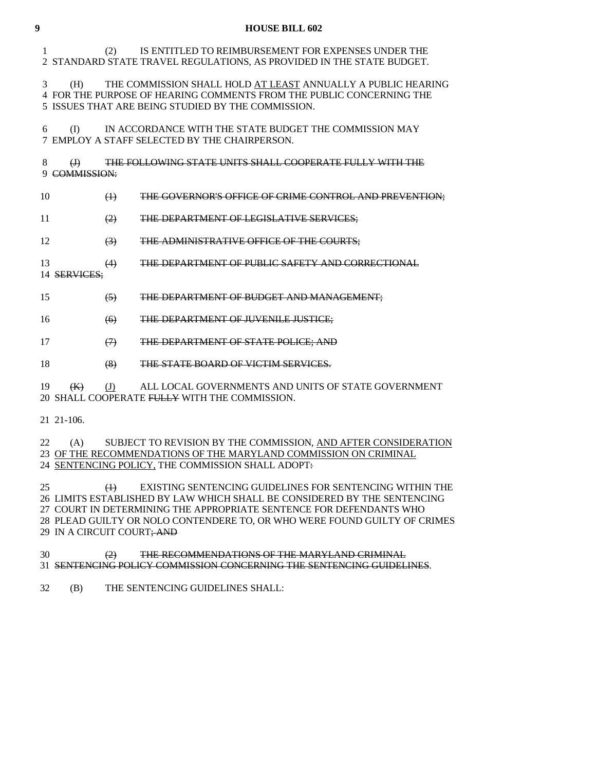# 1 (2) IS ENTITLED TO REIMBURSEMENT FOR EXPENSES UNDER THE 2 STANDARD STATE TRAVEL REGULATIONS, AS PROVIDED IN THE STATE BUDGET.

 3 (H) THE COMMISSION SHALL HOLD AT LEAST ANNUALLY A PUBLIC HEARING 4 FOR THE PURPOSE OF HEARING COMMENTS FROM THE PUBLIC CONCERNING THE 5 ISSUES THAT ARE BEING STUDIED BY THE COMMISSION.

 6 (I) IN ACCORDANCE WITH THE STATE BUDGET THE COMMISSION MAY 7 EMPLOY A STAFF SELECTED BY THE CHAIRPERSON.

 8 (J) THE FOLLOWING STATE UNITS SHALL COOPERATE FULLY WITH THE 9 COMMISSION:

10 (1) THE GOVERNOR'S OFFICE OF CRIME CONTROL AND PREVENTION;

11 (2) THE DEPARTMENT OF LEGISLATIVE SERVICES;

12 (3) THE ADMINISTRATIVE OFFICE OF THE COURTS;

13 (4) THE DEPARTMENT OF PUBLIC SAFETY AND CORRECTIONAL

14 SERVICES;

15 (5) THE DEPARTMENT OF BUDGET AND MANAGEMENT;

16 (6) THE DEPARTMENT OF JUVENILE JUSTICE;

17 (7) THE DEPARTMENT OF STATE POLICE; AND

18 (8) THE STATE BOARD OF VICTIM SERVICES.

19 (K) (J) ALL LOCAL GOVERNMENTS AND UNITS OF STATE GOVERNMENT 20 SHALL COOPERATE FULLY WITH THE COMMISSION.

21 21-106.

22 (A) SUBJECT TO REVISION BY THE COMMISSION, AND AFTER CONSIDERATION

23 OF THE RECOMMENDATIONS OF THE MARYLAND COMMISSION ON CRIMINAL

24 SENTENCING POLICY, THE COMMISSION SHALL ADOPT:

25 (1) EXISTING SENTENCING GUIDELINES FOR SENTENCING WITHIN THE 26 LIMITS ESTABLISHED BY LAW WHICH SHALL BE CONSIDERED BY THE SENTENCING 27 COURT IN DETERMINING THE APPROPRIATE SENTENCE FOR DEFENDANTS WHO 28 PLEAD GUILTY OR NOLO CONTENDERE TO, OR WHO WERE FOUND GUILTY OF CRIMES 29 IN A CIRCUIT COURT; AND

 30 (2) THE RECOMMENDATIONS OF THE MARYLAND CRIMINAL 31 SENTENCING POLICY COMMISSION CONCERNING THE SENTENCING GUIDELINES.

32 (B) THE SENTENCING GUIDELINES SHALL: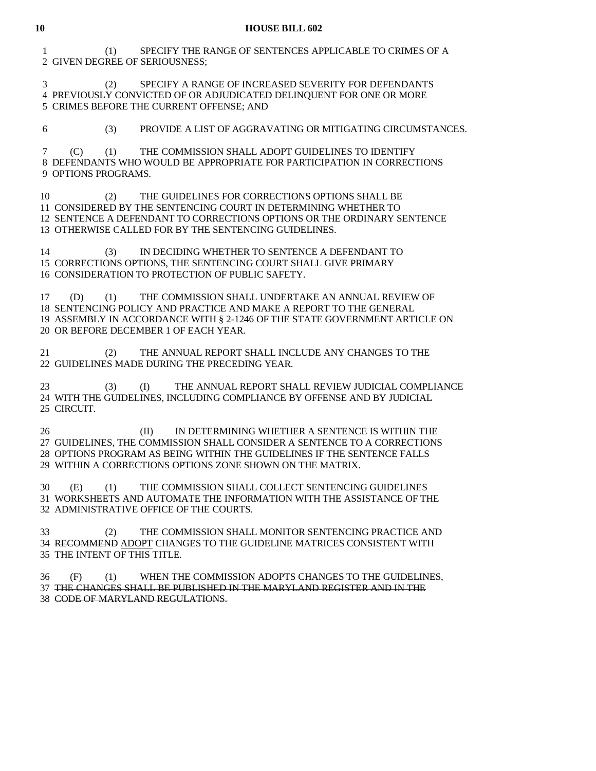1 (1) SPECIFY THE RANGE OF SENTENCES APPLICABLE TO CRIMES OF A 2 GIVEN DEGREE OF SERIOUSNESS;

 3 (2) SPECIFY A RANGE OF INCREASED SEVERITY FOR DEFENDANTS 4 PREVIOUSLY CONVICTED OF OR ADJUDICATED DELINQUENT FOR ONE OR MORE 5 CRIMES BEFORE THE CURRENT OFFENSE; AND

6 (3) PROVIDE A LIST OF AGGRAVATING OR MITIGATING CIRCUMSTANCES.

 7 (C) (1) THE COMMISSION SHALL ADOPT GUIDELINES TO IDENTIFY 8 DEFENDANTS WHO WOULD BE APPROPRIATE FOR PARTICIPATION IN CORRECTIONS 9 OPTIONS PROGRAMS.

 10 (2) THE GUIDELINES FOR CORRECTIONS OPTIONS SHALL BE 11 CONSIDERED BY THE SENTENCING COURT IN DETERMINING WHETHER TO 12 SENTENCE A DEFENDANT TO CORRECTIONS OPTIONS OR THE ORDINARY SENTENCE 13 OTHERWISE CALLED FOR BY THE SENTENCING GUIDELINES.

 14 (3) IN DECIDING WHETHER TO SENTENCE A DEFENDANT TO 15 CORRECTIONS OPTIONS, THE SENTENCING COURT SHALL GIVE PRIMARY 16 CONSIDERATION TO PROTECTION OF PUBLIC SAFETY.

 17 (D) (1) THE COMMISSION SHALL UNDERTAKE AN ANNUAL REVIEW OF 18 SENTENCING POLICY AND PRACTICE AND MAKE A REPORT TO THE GENERAL 19 ASSEMBLY IN ACCORDANCE WITH § 2-1246 OF THE STATE GOVERNMENT ARTICLE ON 20 OR BEFORE DECEMBER 1 OF EACH YEAR.

 21 (2) THE ANNUAL REPORT SHALL INCLUDE ANY CHANGES TO THE 22 GUIDELINES MADE DURING THE PRECEDING YEAR.

 23 (3) (I) THE ANNUAL REPORT SHALL REVIEW JUDICIAL COMPLIANCE 24 WITH THE GUIDELINES, INCLUDING COMPLIANCE BY OFFENSE AND BY JUDICIAL 25 CIRCUIT.

26 (II) IN DETERMINING WHETHER A SENTENCE IS WITHIN THE 27 GUIDELINES, THE COMMISSION SHALL CONSIDER A SENTENCE TO A CORRECTIONS 28 OPTIONS PROGRAM AS BEING WITHIN THE GUIDELINES IF THE SENTENCE FALLS 29 WITHIN A CORRECTIONS OPTIONS ZONE SHOWN ON THE MATRIX.

 30 (E) (1) THE COMMISSION SHALL COLLECT SENTENCING GUIDELINES 31 WORKSHEETS AND AUTOMATE THE INFORMATION WITH THE ASSISTANCE OF THE 32 ADMINISTRATIVE OFFICE OF THE COURTS.

 33 (2) THE COMMISSION SHALL MONITOR SENTENCING PRACTICE AND 34 RECOMMEND ADOPT CHANGES TO THE GUIDELINE MATRICES CONSISTENT WITH 35 THE INTENT OF THIS TITLE.

 36 (F) (1) WHEN THE COMMISSION ADOPTS CHANGES TO THE GUIDELINES, 37 THE CHANGES SHALL BE PUBLISHED IN THE MARYLAND REGISTER AND IN THE 38 CODE OF MARYLAND REGULATIONS.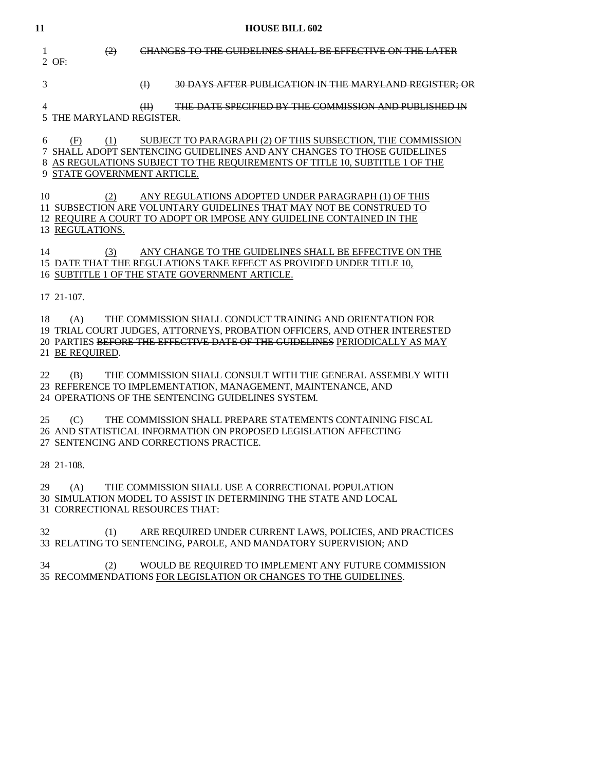| 11 |                                           | <b>HOUSE BILL 602</b>                                                                                                                                                                                                 |
|----|-------------------------------------------|-----------------------------------------------------------------------------------------------------------------------------------------------------------------------------------------------------------------------|
| 1  | (2)<br>$2$ $\Theta$ F:                    | CHANGES TO THE GUIDELINES SHALL BE EFFECTIVE ON THE LATER                                                                                                                                                             |
| 3  |                                           | $\bigoplus$<br>30 DAYS AFTER PUBLICATION IN THE MARYLAND REGISTER; OR                                                                                                                                                 |
| 4  | 5 THE MARYLAND REGISTER.                  | THE DATE SPECIFIED BY THE COMMISSION AND PUBLISHED IN<br>(H)                                                                                                                                                          |
| 6  | (F)<br>(1)<br>9 STATE GOVERNMENT ARTICLE. | SUBJECT TO PARAGRAPH (2) OF THIS SUBSECTION, THE COMMISSION<br>7 SHALL ADOPT SENTENCING GUIDELINES AND ANY CHANGES TO THOSE GUIDELINES<br>8 AS REGULATIONS SUBJECT TO THE REQUIREMENTS OF TITLE 10, SUBTITLE 1 OF THE |
| 10 | (2)<br>13 REGULATIONS.                    | ANY REGULATIONS ADOPTED UNDER PARAGRAPH (1) OF THIS<br>11 SUBSECTION ARE VOLUNTARY GUIDELINES THAT MAY NOT BE CONSTRUED TO<br>12 REQUIRE A COURT TO ADOPT OR IMPOSE ANY GUIDELINE CONTAINED IN THE                    |
| 14 | (3)                                       | ANY CHANGE TO THE GUIDELINES SHALL BE EFFECTIVE ON THE<br>15 DATE THAT THE REGULATIONS TAKE EFFECT AS PROVIDED UNDER TITLE 10,<br>16 SUBTITLE 1 OF THE STATE GOVERNMENT ARTICLE.                                      |
|    | 17 21-107.                                |                                                                                                                                                                                                                       |
| 18 | (A)<br>21 BE REQUIRED.                    | THE COMMISSION SHALL CONDUCT TRAINING AND ORIENTATION FOR<br>19 TRIAL COURT JUDGES, ATTORNEYS, PROBATION OFFICERS, AND OTHER INTERESTED<br>20 PARTIES BEFORE THE EFFECTIVE DATE OF THE GUIDELINES PERIODICALLY AS MAY |
| 22 | (B)                                       | THE COMMISSION SHALL CONSULT WITH THE GENERAL ASSEMBLY WITH<br>23 REFERENCE TO IMPLEMENTATION, MANAGEMENT, MAINTENANCE, AND<br>24 OPERATIONS OF THE SENTENCING GUIDELINES SYSTEM.                                     |
| 25 | (C)                                       | THE COMMISSION SHALL PREPARE STATEMENTS CONTAINING FISCAL<br>26 AND STATISTICAL INFORMATION ON PROPOSED LEGISLATION AFFECTING<br>27 SENTENCING AND CORRECTIONS PRACTICE.                                              |
|    | 28 21-108.                                |                                                                                                                                                                                                                       |
| 29 | (A)<br>31 CORRECTIONAL RESOURCES THAT:    | THE COMMISSION SHALL USE A CORRECTIONAL POPULATION<br>30 SIMULATION MODEL TO ASSIST IN DETERMINING THE STATE AND LOCAL                                                                                                |
| 32 | (1)                                       | ARE REQUIRED UNDER CURRENT LAWS, POLICIES, AND PRACTICES<br>33 RELATING TO SENTENCING, PAROLE, AND MANDATORY SUPERVISION; AND                                                                                         |
| 34 | (2)                                       | WOULD BE REQUIRED TO IMPLEMENT ANY FUTURE COMMISSION<br>35 RECOMMENDATIONS FOR LEGISLATION OR CHANGES TO THE GUIDELINES.                                                                                              |
|    |                                           |                                                                                                                                                                                                                       |
|    |                                           |                                                                                                                                                                                                                       |
|    |                                           |                                                                                                                                                                                                                       |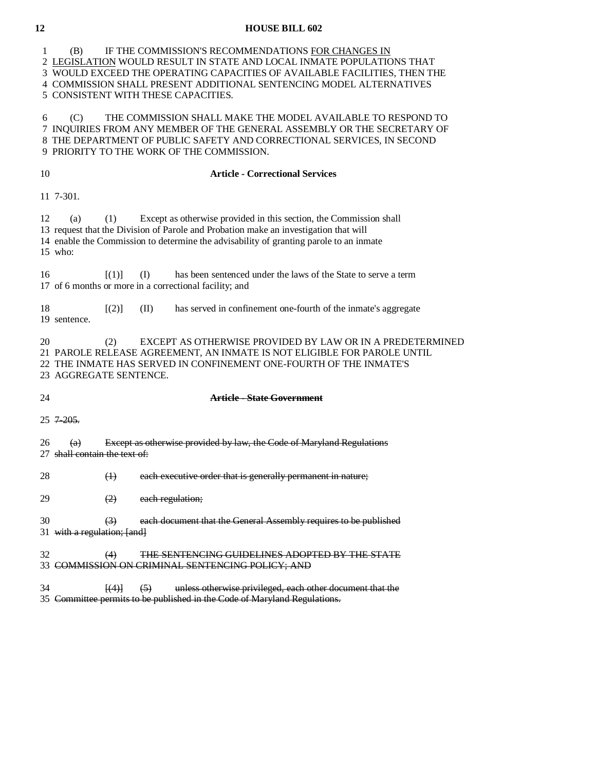1 (B) IF THE COMMISSION'S RECOMMENDATIONS FOR CHANGES IN 2 LEGISLATION WOULD RESULT IN STATE AND LOCAL INMATE POPULATIONS THAT 3 WOULD EXCEED THE OPERATING CAPACITIES OF AVAILABLE FACILITIES, THEN THE 4 COMMISSION SHALL PRESENT ADDITIONAL SENTENCING MODEL ALTERNATIVES 5 CONSISTENT WITH THESE CAPACITIES. 6 (C) THE COMMISSION SHALL MAKE THE MODEL AVAILABLE TO RESPOND TO 7 INQUIRIES FROM ANY MEMBER OF THE GENERAL ASSEMBLY OR THE SECRETARY OF 8 THE DEPARTMENT OF PUBLIC SAFETY AND CORRECTIONAL SERVICES, IN SECOND 9 PRIORITY TO THE WORK OF THE COMMISSION. 10 **Article - Correctional Services**  11 7-301. 12 (a) (1) Except as otherwise provided in this section, the Commission shall 13 request that the Division of Parole and Probation make an investigation that will 14 enable the Commission to determine the advisability of granting parole to an inmate 15 who: 16 [(1)] (I) has been sentenced under the laws of the State to serve a term 17 of 6 months or more in a correctional facility; and 18 [(2)] (II) has served in confinement one-fourth of the inmate's aggregate 19 sentence. 20 (2) EXCEPT AS OTHERWISE PROVIDED BY LAW OR IN A PREDETERMINED 21 PAROLE RELEASE AGREEMENT, AN INMATE IS NOT ELIGIBLE FOR PAROLE UNTIL 22 THE INMATE HAS SERVED IN CONFINEMENT ONE-FOURTH OF THE INMATE'S 23 AGGREGATE SENTENCE. 24 **Article - State Government** 25 7-205.  $26$  (a) Except as otherwise provided by law, the Code of Maryland Regulations 27 shall contain the text of: 28 (1) each executive order that is generally permanent in nature; 29 (2) each regulation; 30 (3) each document that the General Assembly requires to be published 31 with a regulation; [and] 32 (4) THE SENTENCING GUIDELINES ADOPTED BY THE STATE 33 COMMISSION ON CRIMINAL SENTENCING POLICY; AND 34 [(4)] (5) unless otherwise privileged, each other document that the

35 Committee permits to be published in the Code of Maryland Regulations.